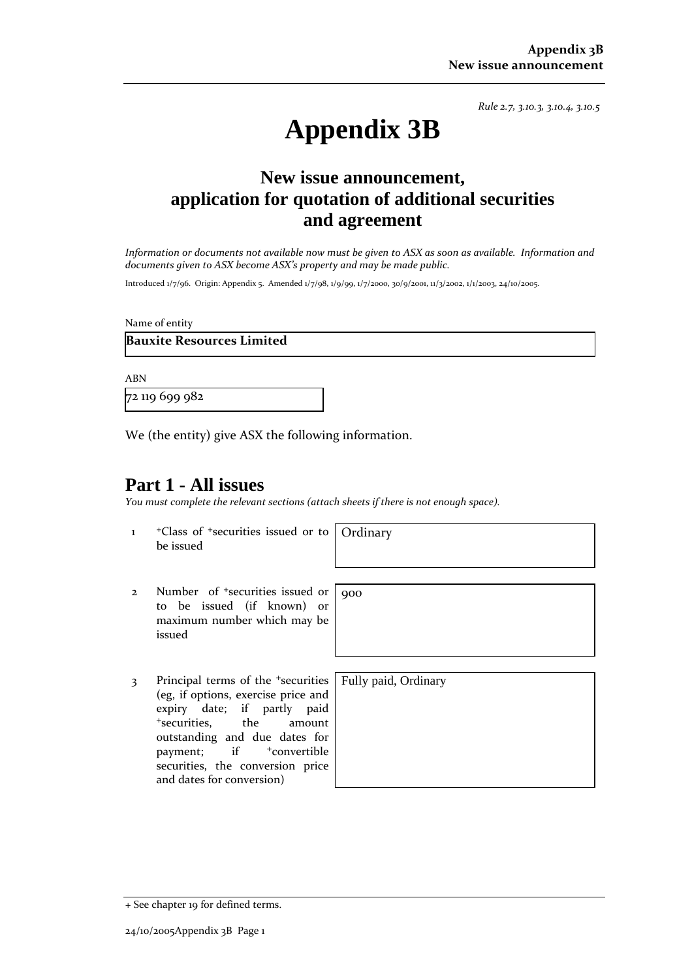*Rule 2.7, 3.10.3, 3.10.4, 3.10.5*

# **Appendix 3B**

# **New issue announcement, application for quotation of additional securities and agreement**

Information or documents not available now must be given to ASX as soon as available. Information and *documents given to ASX become ASX's property and may be made public.*

Introduced 1/7/96. Origin: Appendix 5. Amended 1/7/98, 1/9/99, 1/7/2000, 30/9/2001, 11/3/2002, 1/1/2003, 24/10/2005.

Name of entity

## **Bauxite Resources Limited**

ABN

72 119 699 982

We (the entity) give ASX the following information.

## **Part 1 - All issues**

*You must complete the relevant sections (attach sheets if there is not enough space).*

1 +Class of +securities issued or to be issued

**Ordinary** 

900

- 2 Number of <sup>+</sup>securities issued or to be issued (if known) or maximum number which may be issued
- 3 Principal terms of the <sup>+</sup>securities (eg, if options, exercise price and expiry date; if partly paid <sup>+</sup>securities, the amount outstanding and due dates for payment; if  $+$ convertible securities, the conversion price and dates for conversion)

Fully paid, Ordinary

+ See chapter 19 for defined terms.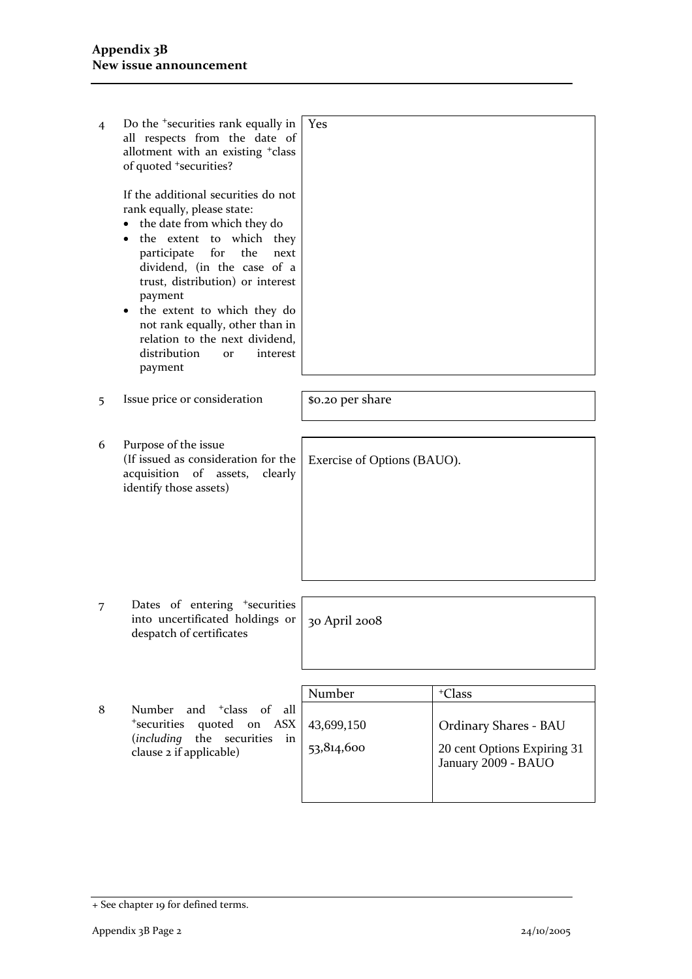| $\overline{4}$ | Do the <sup>+</sup> securities rank equally in<br>all respects from the date of<br>allotment with an existing <sup>+</sup> class<br>of quoted <sup>+</sup> securities?                                                                                                                                                                                                                                                | <b>Yes</b>                  |                       |  |
|----------------|-----------------------------------------------------------------------------------------------------------------------------------------------------------------------------------------------------------------------------------------------------------------------------------------------------------------------------------------------------------------------------------------------------------------------|-----------------------------|-----------------------|--|
|                | If the additional securities do not<br>rank equally, please state:<br>the date from which they do<br>the extent to which they<br>for<br>participate<br>the<br>next<br>dividend, (in the case of a<br>trust, distribution) or interest<br>payment<br>the extent to which they do<br>$\bullet$<br>not rank equally, other than in<br>relation to the next dividend,<br>distribution<br>interest<br><b>or</b><br>payment |                             |                       |  |
| 5              | Issue price or consideration                                                                                                                                                                                                                                                                                                                                                                                          | \$0.20 per share            |                       |  |
| 6              | Purpose of the issue<br>(If issued as consideration for the<br>acquisition of assets,<br>clearly<br>identify those assets)                                                                                                                                                                                                                                                                                            | Exercise of Options (BAUO). |                       |  |
| 7              | Dates of entering <sup>+</sup> securities<br>into uncertificated holdings or<br>despatch of certificates                                                                                                                                                                                                                                                                                                              | 30 April 2008               |                       |  |
|                |                                                                                                                                                                                                                                                                                                                                                                                                                       | Number                      | <sup>+</sup> Class    |  |
| 8              | and <sup>+</sup> class of<br>Number<br>all                                                                                                                                                                                                                                                                                                                                                                            |                             |                       |  |
|                | <sup>+</sup> securities<br>quoted on<br><b>ASX</b>                                                                                                                                                                                                                                                                                                                                                                    | 43,699,150                  | Ordinary Shares - BAU |  |

53,814,600

(*including* the securities in

clause 2 if applicable)

20 cent Options Expiring 31 January 2009 - BAUO

<sup>+</sup> See chapter 19 for defined terms.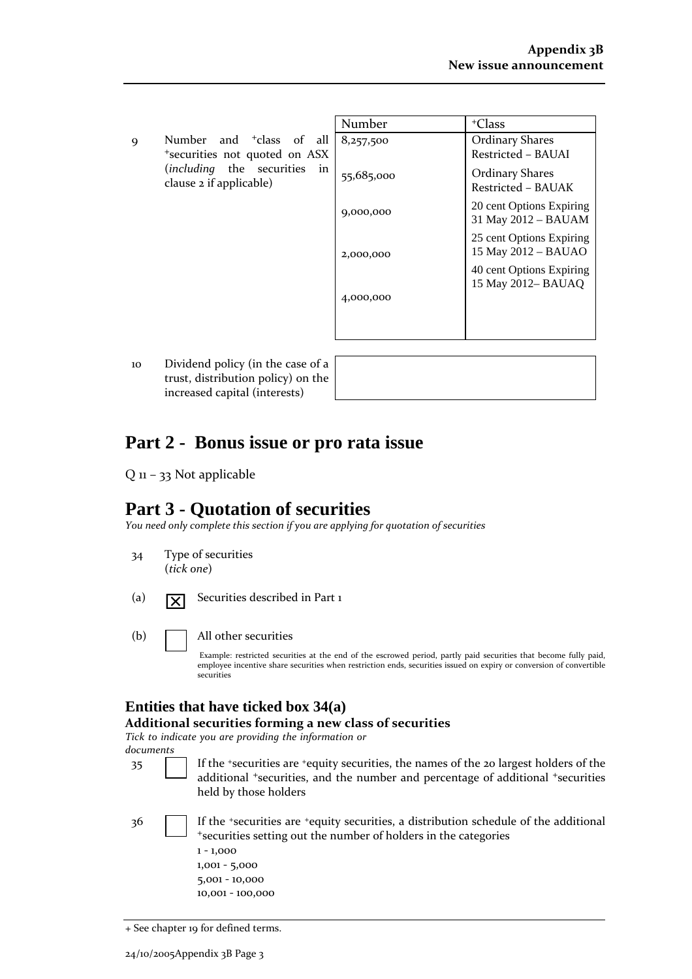9 Number and <sup>+</sup>class of all <sup>+</sup>securities not quoted on ASX (*including* the securities in clause 2 if applicable)

| Number     | <sup>+</sup> Class                              |  |  |
|------------|-------------------------------------------------|--|--|
| 8,257,500  | <b>Ordinary Shares</b>                          |  |  |
|            | Restricted - BAUAI                              |  |  |
| 55,685,000 | <b>Ordinary Shares</b>                          |  |  |
|            | Restricted - BAUAK                              |  |  |
| 9,000,000  | 20 cent Options Expiring<br>31 May 2012 - BAUAM |  |  |
|            |                                                 |  |  |
| 2,000,000  | 25 cent Options Expiring<br>15 May 2012 - BAUAO |  |  |
|            | 40 cent Options Expiring                        |  |  |
|            | 15 May 2012– BAUAO                              |  |  |
| 4,000,000  |                                                 |  |  |
|            |                                                 |  |  |
|            |                                                 |  |  |

10 Dividend policy (in the case of a trust, distribution policy) on the increased capital (interests)

# **Part 2 - Bonus issue or pro rata issue**

Q 11 – 33 Not applicable

# **Part 3 - Quotation of securities**

*You need only complete this section if you are applying for quotation of securities*

- 34 Type of securities (*tick one*)
- (a)  $\boxed{\times}$  Securities described in Part 1
- (b) All other securities

Example: restricted securities at the end of the escrowed period, partly paid securities that become fully paid, employee incentive share securities when restriction ends, securities issued on expiry or conversion of convertible securities

# **Entities that have ticked box 34(a)**

#### **Additional securities forming a new class of securities**

*Tick to indicate you are providing the information or*

*documents*

- 35 If the <sup>+</sup>securities are <sup>+</sup>equity securities, the names of the 20 largest holders of the additional <sup>+</sup>securities, and the number and percentage of additional <sup>+</sup>securities held by those holders
- 

36 If the +securities are +equity securities, a distribution schedule of the additional <sup>+</sup>securities setting out the number of holders in the categories 1 ‐ 1,000

1,001 ‐ 5,000 5,001 ‐ 10,000 10,001 ‐ 100,000

<sup>+</sup> See chapter 19 for defined terms.